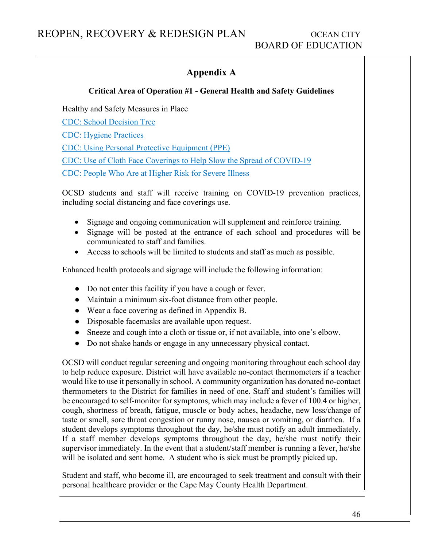# **Appendix A**

### **Critical Area of Operation #1 - General Health and Safety Guidelines**

Healthy and Safety Measures in Place

[CDC: School Decision Tree](https://oceancityschools.org/uploads/1595611743School%20Decision%20Tree.pdf)

[CDC: Hygiene Practices](https://www.cdc.gov/coronavirus/2019-ncov/downloads/stop-the-spread-of-germs.pdf)

[CDC: Using Personal Protective Equipment \(PPE\)](https://www.cdc.gov/coronavirus/2019-ncov/hcp/using-ppe.html)

[CDC: Use of Cloth Face Coverings to Help Slow the Spread of COVID-19](https://www.cdc.gov/coronavirus/2019-ncov/prevent-getting-sick/diy-cloth-face-coverings.html)

[CDC: People Who Are at Higher Risk for Severe Illness](https://www.cdc.gov/coronavirus/2019-ncov/need-extra-precautions/people-at-higher-risk.html)

OCSD students and staff will receive training on COVID-19 prevention practices, including social distancing and face coverings use.

- Signage and ongoing communication will supplement and reinforce training.
- Signage will be posted at the entrance of each school and procedures will be communicated to staff and families.
- Access to schools will be limited to students and staff as much as possible.

Enhanced health protocols and signage will include the following information:

- Do not enter this facility if you have a cough or fever.
- Maintain a minimum six-foot distance from other people.
- Wear a face covering as defined in Appendix B.
- Disposable facemasks are available upon request.
- Sneeze and cough into a cloth or tissue or, if not available, into one's elbow.
- Do not shake hands or engage in any unnecessary physical contact.

OCSD will conduct regular screening and ongoing monitoring throughout each school day to help reduce exposure. District will have available no-contact thermometers if a teacher would like to use it personally in school. A community organization has donated no-contact thermometers to the District for families in need of one. Staff and student's families will be encouraged to self-monitor for symptoms, which may include a fever of 100.4 or higher, cough, shortness of breath, fatigue, muscle or body aches, headache, new loss/change of taste or smell, sore throat congestion or runny nose, nausea or vomiting, or diarrhea. If a student develops symptoms throughout the day, he/she must notify an adult immediately. If a staff member develops symptoms throughout the day, he/she must notify their supervisor immediately. In the event that a student/staff member is running a fever, he/she will be isolated and sent home. A student who is sick must be promptly picked up.

Student and staff, who become ill, are encouraged to seek treatment and consult with their personal healthcare provider or the Cape May County Health Department.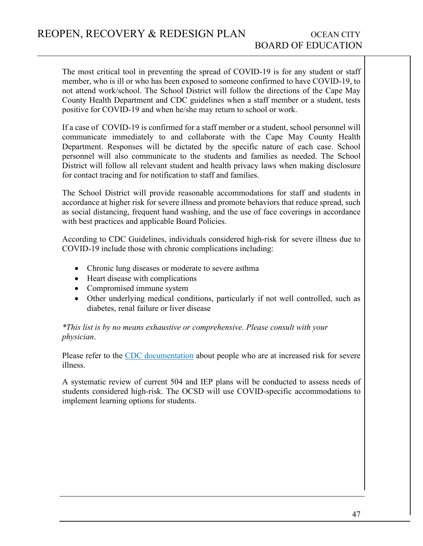The most critical tool in preventing the spread of COVID-19 is for any student or staff member, who is ill or who has been exposed to someone confirmed to have COVID-19, to not attend work/school. The School District will follow the directions of the Cape May County Health Department and CDC guidelines when a staff member or a student, tests positive for COVID-19 and when he/she may return to school or work.

If a case of COVID-19 is confirmed for a staff member or a student, school personnel will communicate immediately to and collaborate with the Cape May County Health Department. Responses will be dictated by the specific nature of each case. School personnel will also communicate to the students and families as needed. The School District will follow all relevant student and health privacy laws when making disclosure for contact tracing and for notification to staff and families.

The School District will provide reasonable accommodations for staff and students in accordance at higher risk for severe illness and promote behaviors that reduce spread, such as social distancing, frequent hand washing, and the use of face coverings in accordance with best practices and applicable Board Policies.

According to CDC Guidelines, individuals considered high-risk for severe illness due to COVID-19 include those with chronic complications including:

- Chronic lung diseases or moderate to severe asthma
- Heart disease with complications
- Compromised immune system
- Other underlying medical conditions, particularly if not well controlled, such as diabetes, renal failure or liver disease

### *\*This list is by no means exhaustive or comprehensive. Please consult with your physician*.

Please refer to the [CDC documentation](https://www.cdc.gov/coronavirus/2019-ncov/need-extra-precautions/people-at-higher-risk.html) about people who are at increased risk for severe illness.

A systematic review of current 504 and IEP plans will be conducted to assess needs of students considered high-risk. The OCSD will use COVID-specific accommodations to implement learning options for students.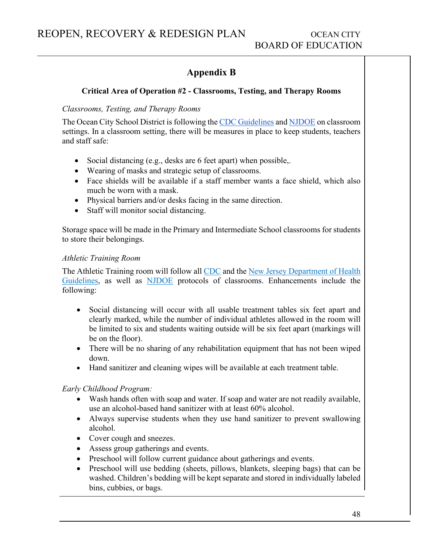# **Appendix B**

### **Critical Area of Operation #2 - Classrooms, Testing, and Therapy Rooms**

### *Classrooms, Testing, and Therapy Rooms*

The Ocean City School District is following the [CDC Guidelines](https://www.cdc.gov/coronavirus/2019-ncov/communication/toolkits/schools.html) and [NJDOE](https://nj.gov/education/reopening/) on classroom settings. In a classroom setting, there will be measures in place to keep students, teachers and staff safe:

- Social distancing (e.g., desks are 6 feet apart) when possible,.
- Wearing of masks and strategic setup of classrooms.
- Face shields will be available if a staff member wants a face shield, which also much be worn with a mask.
- Physical barriers and/or desks facing in the same direction.
- Staff will monitor social distancing.

Storage space will be made in the Primary and Intermediate School classrooms for students to store their belongings.

### *Athletic Training Room*

The Athletic Training room will follow all [CDC](https://www.cdc.gov/coronavirus/2019-ncov/communication/toolkits/schools.html) and the [New Jersey Department of Health](https://covid19.nj.gov/)  [Guidelines,](https://covid19.nj.gov/) as well as [NJDOE](https://nj.gov/education/reopening/) protocols of classrooms. Enhancements include the following:

- Social distancing will occur with all usable treatment tables six feet apart and clearly marked, while the number of individual athletes allowed in the room will be limited to six and students waiting outside will be six feet apart (markings will be on the floor).
- There will be no sharing of any rehabilitation equipment that has not been wiped down.
- Hand sanitizer and cleaning wipes will be available at each treatment table.

### *Early Childhood Program:*

- Wash hands often with soap and water. If soap and water are not readily available, use an alcohol-based hand sanitizer with at least 60% alcohol.
- Always supervise students when they use hand sanitizer to prevent swallowing alcohol.
- Cover cough and sneezes.
- Assess group gatherings and events.
- Preschool will follow current guidance about gatherings and events.
- Preschool will use bedding (sheets, pillows, blankets, sleeping bags) that can be washed. Children's bedding will be kept separate and stored in individually labeled bins, cubbies, or bags.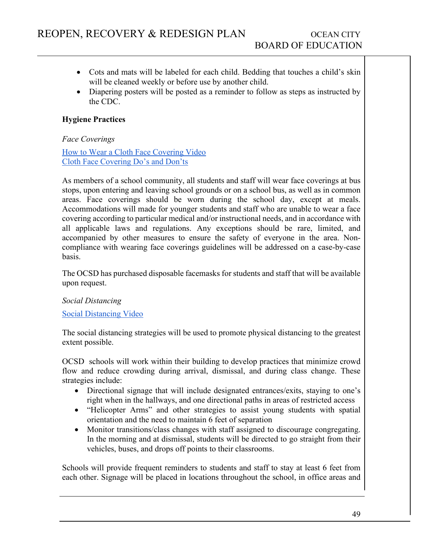- Cots and mats will be labeled for each child. Bedding that touches a child's skin will be cleaned weekly or before use by another child.
- Diapering posters will be posted as a reminder to follow as steps as instructed by the CDC.

### **Hygiene Practices**

### *Face Coverings*

[How to Wear a Cloth Face Covering](https://www.youtube.com/watch?v=dy9TzRwVWoA) Video Cloth Face Covering Do's and Don'ts

As members of a school community, all students and staff will wear face coverings at bus stops, upon entering and leaving school grounds or on a school bus, as well as in common areas. Face coverings should be worn during the school day, except at meals. Accommodations will made for younger students and staff who are unable to wear a face covering according to particular medical and/or instructional needs, and in accordance with all applicable laws and regulations. Any exceptions should be rare, limited, and accompanied by other measures to ensure the safety of everyone in the area. Noncompliance with wearing face coverings guidelines will be addressed on a case-by-case basis.

The OCSD has purchased disposable facemasks for students and staff that will be available upon request.

### *Social Distancing*

[Social Distancing](https://www.youtube.com/watch?v=Xdd2M40Leb0) Video

The social distancing strategies will be used to promote physical distancing to the greatest extent possible.

OCSD schools will work within their building to develop practices that minimize crowd flow and reduce crowding during arrival, dismissal, and during class change. These strategies include:

- Directional signage that will include designated entrances/exits, staying to one's right when in the hallways, and one directional paths in areas of restricted access
- "Helicopter Arms" and other strategies to assist young students with spatial orientation and the need to maintain 6 feet of separation
- Monitor transitions/class changes with staff assigned to discourage congregating. In the morning and at dismissal, students will be directed to go straight from their vehicles, buses, and drops off points to their classrooms.

Schools will provide frequent reminders to students and staff to stay at least 6 feet from each other. Signage will be placed in locations throughout the school, in office areas and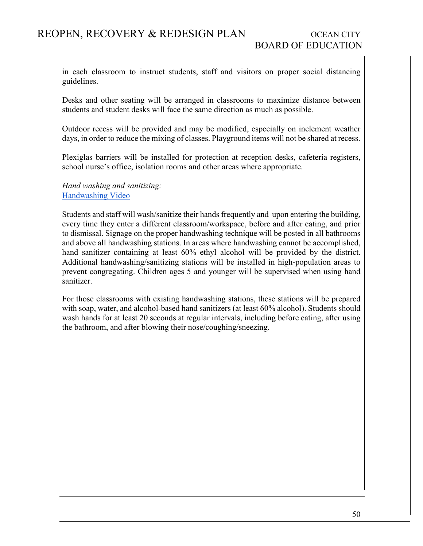in each classroom to instruct students, staff and visitors on proper social distancing guidelines.

Desks and other seating will be arranged in classrooms to maximize distance between students and student desks will face the same direction as much as possible.

Outdoor recess will be provided and may be modified, especially on inclement weather days, in order to reduce the mixing of classes. Playground items will not be shared at recess.

Plexiglas barriers will be installed for protection at reception desks, cafeteria registers, school nurse's office, isolation rooms and other areas where appropriate.

*Hand washing and sanitizing:* [Handwashing Video](https://www.cdc.gov/wcms/video/low-res/coronavirus/2020/1533015330wash_hands.mp4)

Students and staff will wash/sanitize their hands frequently and upon entering the building, every time they enter a different classroom/workspace, before and after eating, and prior to dismissal. Signage on the proper handwashing technique will be posted in all bathrooms and above all handwashing stations. In areas where handwashing cannot be accomplished, hand sanitizer containing at least 60% ethyl alcohol will be provided by the district. Additional handwashing/sanitizing stations will be installed in high-population areas to prevent congregating. Children ages 5 and younger will be supervised when using hand sanitizer.

For those classrooms with existing handwashing stations, these stations will be prepared with soap, water, and alcohol-based hand sanitizers (at least 60% alcohol). Students should wash hands for at least 20 seconds at regular intervals, including before eating, after using the bathroom, and after blowing their nose/coughing/sneezing.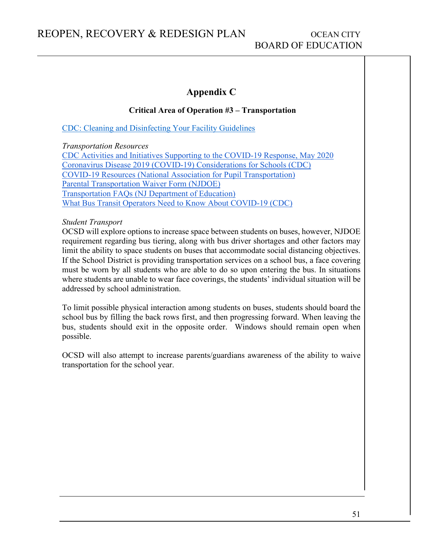## **Appendix C**

### **Critical Area of Operation #3 – Transportation**

[CDC: Cleaning and Disinfecting Your Facility Guidelines](https://www.cdc.gov/coronavirus/2019-ncov/community/disinfecting-building-facility.html)

*Transportation Resources* [CDC Activities and Initiatives Supporting to the COVID-19 Response, May 2020](https://www.cdc.gov/coronavirus/2019-ncov/downloads/php/CDC-Activities-Initiatives-for-COVID-19-Response.pdf) Coronavirus Disease [2019 \(COVID-19\) Considerations for Schools \(CDC\)](https://www.cdc.gov/coronavirus/2019-ncov/community/schools-childcare/schools.html) [COVID-19 Resources \(National Association for Pupil Transportation\)](https://www.napt.org/content.asp?contentid=275)  [Parental Transportation Waiver Form \(NJDOE\)](https://www.nj.gov/education/finance/transportation/procedures/ParentalTransportationWaiverReinstatementForm.xls)  Transportation FAQs [\(NJ Department of Education\)](https://www.nj.gov/education/finance/transportation/procedures/ParentalTransportationWaiverReinstatementForm.xls)  [What Bus Transit Operators Need to Know About COVID-19 \(CDC\)](https://www.cdc.gov/coronavirus/2019-ncov/community/organizations/bus-transit-operator.html)

#### *Student Transport*

OCSD will explore options to increase space between students on buses, however, NJDOE requirement regarding bus tiering, along with bus driver shortages and other factors may limit the ability to space students on buses that accommodate social distancing objectives. If the School District is providing transportation services on a school bus, a face covering must be worn by all students who are able to do so upon entering the bus. In situations where students are unable to wear face coverings, the students' individual situation will be addressed by school administration.

To limit possible physical interaction among students on buses, students should board the school bus by filling the back rows first, and then progressing forward. When leaving the bus, students should exit in the opposite order. Windows should remain open when possible.

OCSD will also attempt to increase parents/guardians awareness of the ability to waive transportation for the school year.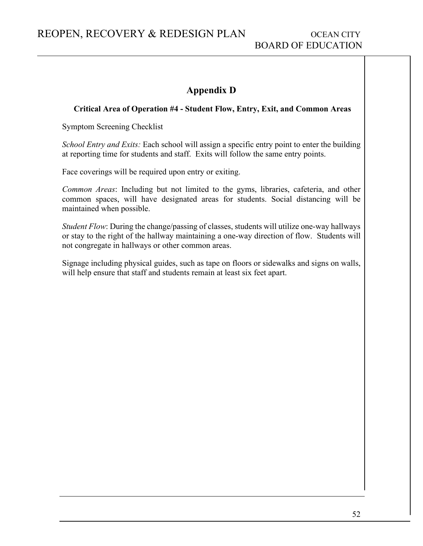## **Appendix D**

### **Critical Area of Operation #4 - Student Flow, Entry, Exit, and Common Areas**

Symptom Screening Checklist

*School Entry and Exits:* Each school will assign a specific entry point to enter the building at reporting time for students and staff. Exits will follow the same entry points.

Face coverings will be required upon entry or exiting.

*Common Areas*: Including but not limited to the gyms, libraries, cafeteria, and other common spaces, will have designated areas for students. Social distancing will be maintained when possible.

*Student Flow*: During the change/passing of classes, students will utilize one-way hallways or stay to the right of the hallway maintaining a one-way direction of flow. Students will not congregate in hallways or other common areas.

Signage including physical guides, such as tape on floors or sidewalks and signs on walls, will help ensure that staff and students remain at least six feet apart.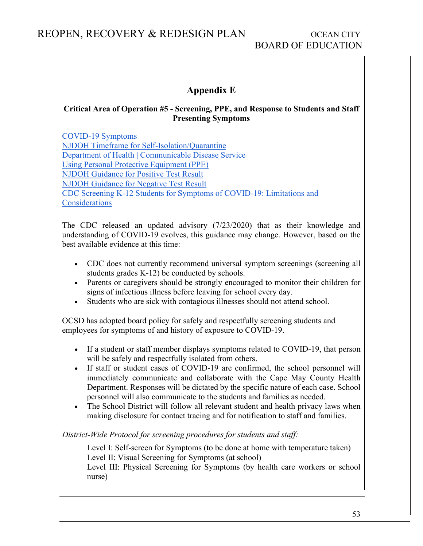### **Appendix E**

### **Critical Area of Operation #5 - Screening, PPE, and Response to Students and Staff Presenting Symptoms**

[COVID-19 Symptoms](https://www.cdc.gov/coronavirus/2019-ncov/downloads/COVID19-symptoms.pdf?fbclid=IwAR3I_r80Zn9M-PElbhpNl8n4-lw35s0Blz3rVouGVSnP55ISHhrTEr3C1qg) [NJDOH Timeframe for Self-Isolation/Quarantine](https://nj.gov/health/cd/documents/topics/NCOV/COVID_test-result-iq-timetable.pdf) [Department of Health | Communicable Disease Service](https://www.nj.gov/health/cd/) [Using Personal Protective Equipment \(PPE\)](https://www.cdc.gov/coronavirus/2019-ncov/hcp/using-ppe.html) [NJDOH Guidance for Positive Test Result](https://oceancityschools.org/uploads/1595254530PositiveCaseGuidance_English.pdf) [NJDOH Guidance for Negative Test Result](https://oceancityschools.org/uploads/1595254547NegativeGuidance_Eng.pdf) [CDC Screening K-12 Students for Symptoms of COVID-19: Limitations and](https://www.cdc.gov/coronavirus/2019-ncov/community/schools-childcare/symptom-screening.html)  [Considerations](https://www.cdc.gov/coronavirus/2019-ncov/community/schools-childcare/symptom-screening.html)

The CDC released an updated advisory (7/23/2020) that as their knowledge and understanding of COVID-19 evolves, this guidance may change. However, based on the best available evidence at this time:

- CDC does not currently recommend universal symptom screenings (screening all students grades K-12) be conducted by schools.
- Parents or caregivers should be strongly encouraged to monitor their children for signs of infectious illness before leaving for school every day.
- Students who are sick with contagious illnesses should not attend school.

OCSD has adopted board policy for safely and respectfully screening students and employees for symptoms of and history of exposure to COVID-19.

- If a student or staff member displays symptoms related to COVID-19, that person will be safely and respectfully isolated from others.
- If staff or student cases of COVID-19 are confirmed, the school personnel will immediately communicate and collaborate with the Cape May County Health Department. Responses will be dictated by the specific nature of each case. School personnel will also communicate to the students and families as needed.
- The School District will follow all relevant student and health privacy laws when making disclosure for contact tracing and for notification to staff and families.

*District-Wide Protocol for screening procedures for students and staff:*

Level I: Self-screen for Symptoms (to be done at home with temperature taken) Level II: Visual Screening for Symptoms (at school)

Level III: Physical Screening for Symptoms (by health care workers or school nurse)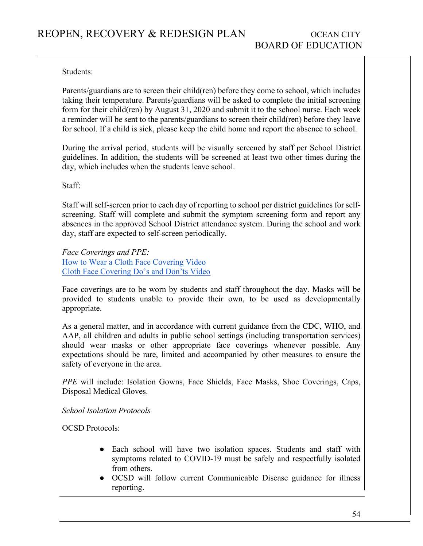Students:

Parents/guardians are to screen their child(ren) before they come to school, which includes taking their temperature. Parents/guardians will be asked to complete the initial screening form for their child(ren) by August 31, 2020 and submit it to the school nurse. Each week a reminder will be sent to the parents/guardians to screen their child(ren) before they leave for school. If a child is sick, please keep the child home and report the absence to school.

During the arrival period, students will be visually screened by staff per School District guidelines. In addition, the students will be screened at least two other times during the day, which includes when the students leave school.

Staff:

Staff will self-screen prior to each day of reporting to school per district guidelines for selfscreening. Staff will complete and submit the symptom screening form and report any absences in the approved School District attendance system. During the school and work day, staff are expected to self-screen periodically.

*Face Coverings and PPE:* [How to Wear a Cloth Face Covering](https://www.youtube.com/watch?v=dy9TzRwVWoA) Video [Cloth Face Covering Do's and Don'ts Video](https://www.youtube.com/watch?v=VciAY7up1Fs)

Face coverings are to be worn by students and staff throughout the day. Masks will be provided to students unable to provide their own, to be used as developmentally appropriate.

As a general matter, and in accordance with current guidance from the CDC, WHO, and AAP, all children and adults in public school settings (including transportation services) should wear masks or other appropriate face coverings whenever possible. Any expectations should be rare, limited and accompanied by other measures to ensure the safety of everyone in the area.

*PPE* will include: Isolation Gowns, Face Shields, Face Masks, Shoe Coverings, Caps, Disposal Medical Gloves.

*School Isolation Protocols*

OCSD Protocols:

- Each school will have two isolation spaces. Students and staff with symptoms related to COVID-19 must be safely and respectfully isolated from others.
- OCSD will follow current Communicable Disease guidance for illness reporting.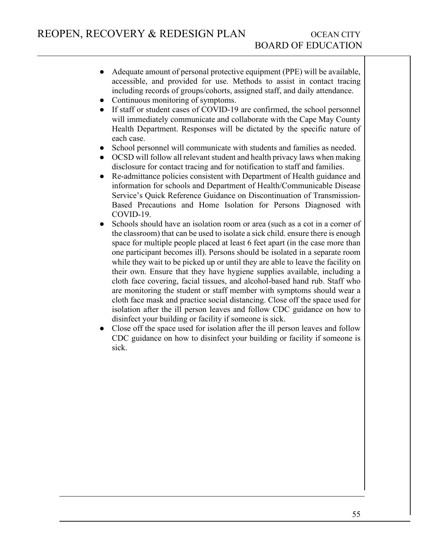- Adequate amount of personal protective equipment (PPE) will be available, accessible, and provided for use. Methods to assist in contact tracing including records of groups/cohorts, assigned staff, and daily attendance.
- Continuous monitoring of symptoms.
- If staff or student cases of COVID-19 are confirmed, the school personnel will immediately communicate and collaborate with the Cape May County Health Department. Responses will be dictated by the specific nature of each case.
- School personnel will communicate with students and families as needed.
- OCSD will follow all relevant student and health privacy laws when making disclosure for contact tracing and for notification to staff and families.
- Re-admittance policies consistent with Department of Health guidance and information for schools and Department of Health/Communicable Disease Service's Quick Reference Guidance on Discontinuation of Transmission-Based Precautions and Home Isolation for Persons Diagnosed with COVID-19.
- Schools should have an isolation room or area (such as a cot in a corner of the classroom) that can be used to isolate a sick child. ensure there is enough space for multiple people placed at least 6 feet apart (in the case more than one participant becomes ill). Persons should be isolated in a separate room while they wait to be picked up or until they are able to leave the facility on their own. Ensure that they have hygiene supplies available, including a cloth face covering, facial tissues, and alcohol-based hand rub. Staff who are monitoring the student or staff member with symptoms should wear a cloth face mask and practice social distancing. Close off the space used for isolation after the ill person leaves and follow CDC guidance on how to disinfect your building or facility if someone is sick.
- Close off the space used for isolation after the ill person leaves and follow CDC guidance on how to disinfect your building or facility if someone is sick.